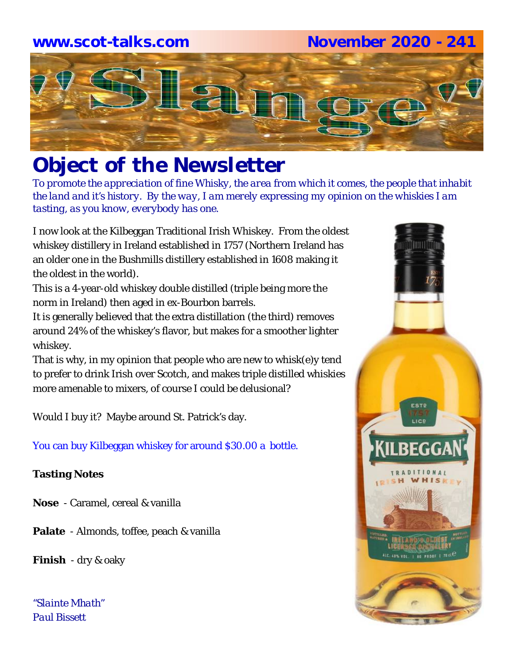### **www.scot-talks.com November 2020 - 241**



### *Object of the Newsletter*

*To promote the appreciation of fine Whisky, the area from which it comes, the people that inhabit the land and it's history. By the way, I am merely expressing my opinion on the whiskies I am tasting, as you know, everybody has one.* 

I now look at the Kilbeggan Traditional Irish Whiskey. From the oldest whiskey distillery in Ireland established in 1757 (Northern Ireland has an older one in the Bushmills distillery established in 1608 making it the oldest in the world).

This is a 4-year-old whiskey double distilled (triple being more the norm in Ireland) then aged in ex-Bourbon barrels.

It is generally believed that the extra distillation (the third) removes around 24% of the whiskey's flavor, but makes for a smoother lighter whiskey.

That is why, in my opinion that people who are new to whisk(e)y tend to prefer to drink Irish over Scotch, and makes triple distilled whiskies more amenable to mixers, of course I could be delusional?

Would I buy it? Maybe around St. Patrick's day.

You can buy Kilbeggan whiskey for around \$30.00 a bottle.

### **Tasting Notes**

- **Nose**  Caramel, cereal & vanilla
- **Palate**  Almonds, toffee, peach & vanilla

**Finish** - dry & oaky

*"Slainte Mhath" Paul Bissett*

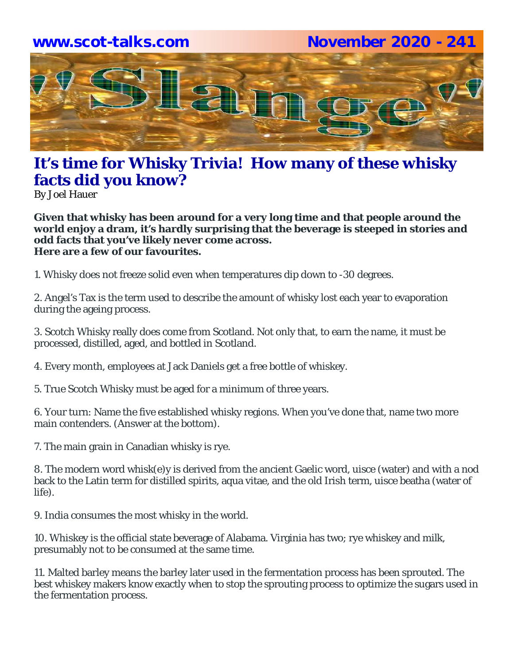## **www.scot-talks.com November 2020 - 241**La

### **It's time for Whisky Trivia! How many of these whisky facts did you know?**

By Joel Hauer

**Given that whisky has been around for a very long time and that people around the world enjoy a dram, it's hardly surprising that the beverage is steeped in stories and odd facts that you've likely never come across. Here are a few of our favourites.**

1. Whisky does not freeze solid even when temperatures dip down to -30 degrees.

2. Angel's Tax is the term used to describe the amount of whisky lost each year to evaporation during the ageing process.

3. Scotch Whisky really does come from Scotland. Not only that, to earn the name, it must be processed, distilled, aged, and bottled in Scotland.

4. Every month, employees at Jack Daniels get a free bottle of whiskey.

5. True Scotch Whisky must be aged for a minimum of three years.

6. Your turn: Name the five established whisky regions. When you've done that, name two more main contenders. (Answer at the bottom).

7. The main grain in Canadian whisky is rye.

8. The modern word whisk(e)y is derived from the ancient Gaelic word, uisce (water) and with a nod back to the Latin term for distilled spirits, aqua vitae, and the old Irish term, uisce beatha (water of life).

9. India consumes the most whisky in the world.

10. Whiskey is the official state beverage of Alabama. Virginia has two; rye whiskey and milk, presumably not to be consumed at the same time.

11. Malted barley means the barley later used in the fermentation process has been sprouted. The best whiskey makers know exactly when to stop the sprouting process to optimize the sugars used in the fermentation process.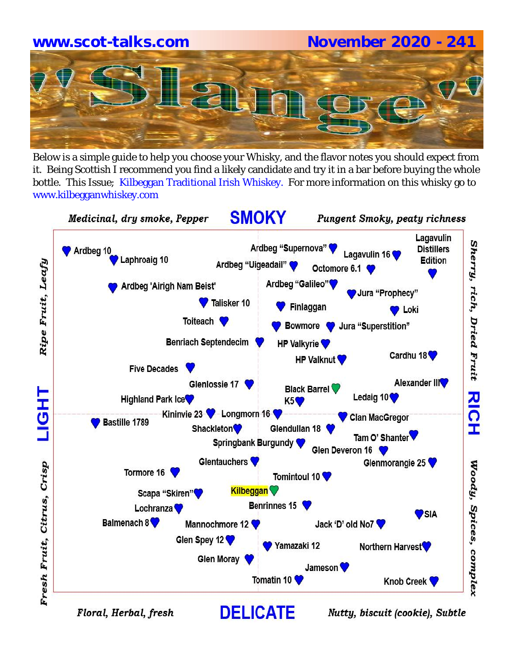# **www.scot-talks.com November 2020 - 241**

Below is a simple guide to help you choose your Whisky, and the flavor notes you should expect from it. Being Scottish I recommend you find a likely candidate and try it in a bar before buying the whole bottle. This Issue; Kilbeggan Traditional Irish Whiskey. For more information on this whisky go to www.kilbegganwhiskey.com



Floral, Herbal, fresh

Nutty, biscuit (cookie), Subtle